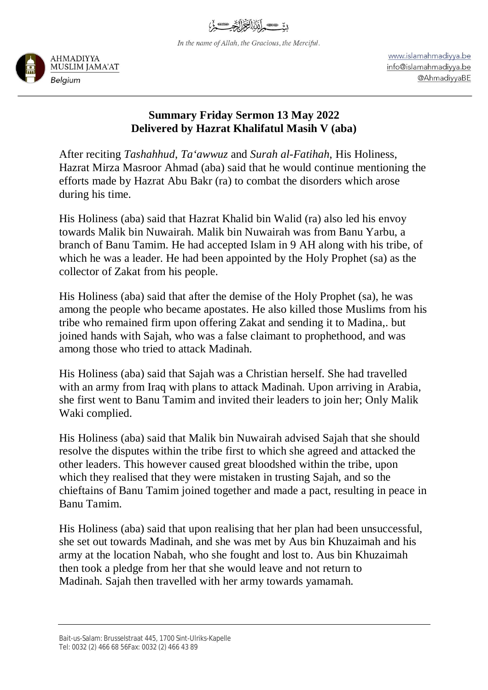In the name of Allah, the Gracious, the Merciful.



www.islamahmadiyya.be info@islamahmadiyya.be @AhmadiyyaBE

## **Summary Friday Sermon 13 May 2022 Delivered by Hazrat Khalifatul Masih V (aba)**

After reciting *Tashahhud*, *Ta'awwuz* and *Surah al-Fatihah*, His Holiness, Hazrat Mirza Masroor Ahmad (aba) said that he would continue mentioning the efforts made by Hazrat Abu Bakr (ra) to combat the disorders which arose during his time.

His Holiness (aba) said that Hazrat Khalid bin Walid (ra) also led his envoy towards Malik bin Nuwairah. Malik bin Nuwairah was from Banu Yarbu, a branch of Banu Tamim. He had accepted Islam in 9 AH along with his tribe, of which he was a leader. He had been appointed by the Holy Prophet (sa) as the collector of Zakat from his people.

His Holiness (aba) said that after the demise of the Holy Prophet (sa), he was among the people who became apostates. He also killed those Muslims from his tribe who remained firm upon offering Zakat and sending it to Madina,. but joined hands with Sajah, who was a false claimant to prophethood, and was among those who tried to attack Madinah.

His Holiness (aba) said that Sajah was a Christian herself. She had travelled with an army from Iraq with plans to attack Madinah. Upon arriving in Arabia, she first went to Banu Tamim and invited their leaders to join her; Only Malik Waki complied.

His Holiness (aba) said that Malik bin Nuwairah advised Sajah that she should resolve the disputes within the tribe first to which she agreed and attacked the other leaders. This however caused great bloodshed within the tribe, upon which they realised that they were mistaken in trusting Sajah, and so the chieftains of Banu Tamim joined together and made a pact, resulting in peace in Banu Tamim.

His Holiness (aba) said that upon realising that her plan had been unsuccessful, she set out towards Madinah, and she was met by Aus bin Khuzaimah and his army at the location Nabah, who she fought and lost to. Aus bin Khuzaimah then took a pledge from her that she would leave and not return to Madinah. Sajah then travelled with her army towards yamamah.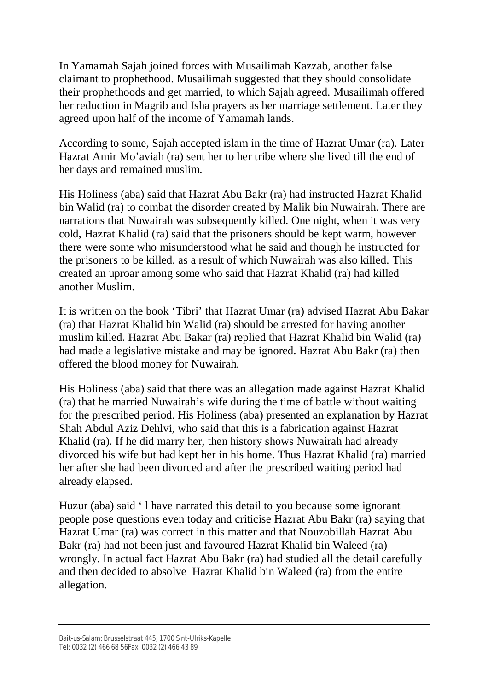In Yamamah Sajah joined forces with Musailimah Kazzab, another false claimant to prophethood. Musailimah suggested that they should consolidate their prophethoods and get married, to which Sajah agreed. Musailimah offered her reduction in Magrib and Isha prayers as her marriage settlement. Later they agreed upon half of the income of Yamamah lands.

According to some, Sajah accepted islam in the time of Hazrat Umar (ra). Later Hazrat Amir Mo'aviah (ra) sent her to her tribe where she lived till the end of her days and remained muslim.

His Holiness (aba) said that Hazrat Abu Bakr (ra) had instructed Hazrat Khalid bin Walid (ra) to combat the disorder created by Malik bin Nuwairah. There are narrations that Nuwairah was subsequently killed. One night, when it was very cold, Hazrat Khalid (ra) said that the prisoners should be kept warm, however there were some who misunderstood what he said and though he instructed for the prisoners to be killed, as a result of which Nuwairah was also killed. This created an uproar among some who said that Hazrat Khalid (ra) had killed another Muslim.

It is written on the book 'Tibri' that Hazrat Umar (ra) advised Hazrat Abu Bakar (ra) that Hazrat Khalid bin Walid (ra) should be arrested for having another muslim killed. Hazrat Abu Bakar (ra) replied that Hazrat Khalid bin Walid (ra) had made a legislative mistake and may be ignored. Hazrat Abu Bakr (ra) then offered the blood money for Nuwairah.

His Holiness (aba) said that there was an allegation made against Hazrat Khalid (ra) that he married Nuwairah's wife during the time of battle without waiting for the prescribed period. His Holiness (aba) presented an explanation by Hazrat Shah Abdul Aziz Dehlvi, who said that this is a fabrication against Hazrat Khalid (ra). If he did marry her, then history shows Nuwairah had already divorced his wife but had kept her in his home. Thus Hazrat Khalid (ra) married her after she had been divorced and after the prescribed waiting period had already elapsed.

Huzur (aba) said ' l have narrated this detail to you because some ignorant people pose questions even today and criticise Hazrat Abu Bakr (ra) saying that Hazrat Umar (ra) was correct in this matter and that Nouzobillah Hazrat Abu Bakr (ra) had not been just and favoured Hazrat Khalid bin Waleed (ra) wrongly. In actual fact Hazrat Abu Bakr (ra) had studied all the detail carefully and then decided to absolve Hazrat Khalid bin Waleed (ra) from the entire allegation.